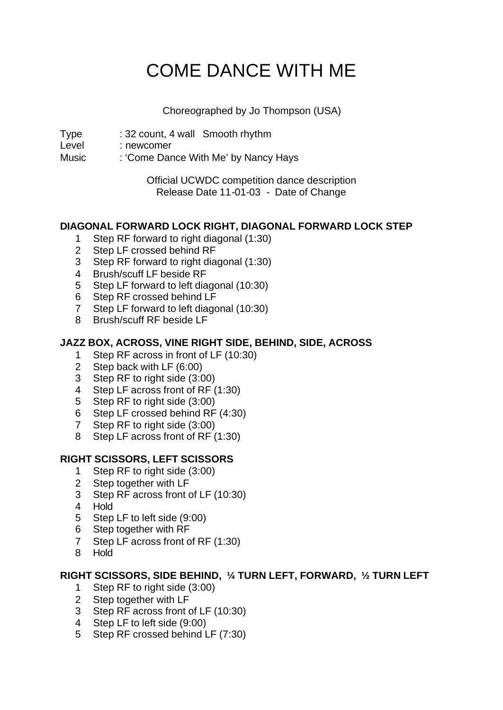# COME DANCE WITH ME

Choreographed by Jo Thompson (USA)

Type : 32 count, 4 wall Smooth rhythm

Level : newcomer

Music : 'Come Dance With Me' by Nancy Hays

Official UCWDC competition dance description Release Date 11-01-03 - Date of Change

# **DIAGONAL FORWARD LOCK RIGHT, DIAGONAL FORWARD LOCK STEP**

- 1 Step RF forward to right diagonal (1:30)
- 2 Step LF crossed behind RF
- 3 Step RF forward to right diagonal (1:30)
- 4 Brush/scuff LF beside RF
- 5 Step LF forward to left diagonal (10:30)
- 6 Step RF crossed behind LF
- 7 Step LF forward to left diagonal (10:30)
- 8 Brush/scuff RF beside LF

# **JAZZ BOX, ACROSS, VINE RIGHT SIDE, BEHIND, SIDE, ACROSS**

- 1 Step RF across in front of LF (10:30)
- 2 Step back with LF (6:00)
- 3 Step RF to right side (3:00)
- 4 Step LF across front of RF (1:30)
- 5 Step RF to right side (3:00)
- 6 Step LF crossed behind RF (4:30)
- 7 Step RF to right side (3:00)
- 8 Step LF across front of RF (1:30)

### **RIGHT SCISSORS, LEFT SCISSORS**

- 1 Step RF to right side (3:00)
- 2 Step together with LF
- 3 Step RF across front of LF (10:30)
- 4 Hold
- 5 Step LF to left side (9:00)
- 6 Step together with RF
- 7 Step LF across front of RF (1:30)
- 8 Hold

### **RIGHT SCISSORS, SIDE BEHIND, ¼ TURN LEFT, FORWARD, ½ TURN LEFT**

- 1 Step RF to right side (3:00)
- 2 Step together with LF
- 3 Step RF across front of LF (10:30)
- 4 Step LF to left side (9:00)
- 5 Step RF crossed behind LF (7:30)